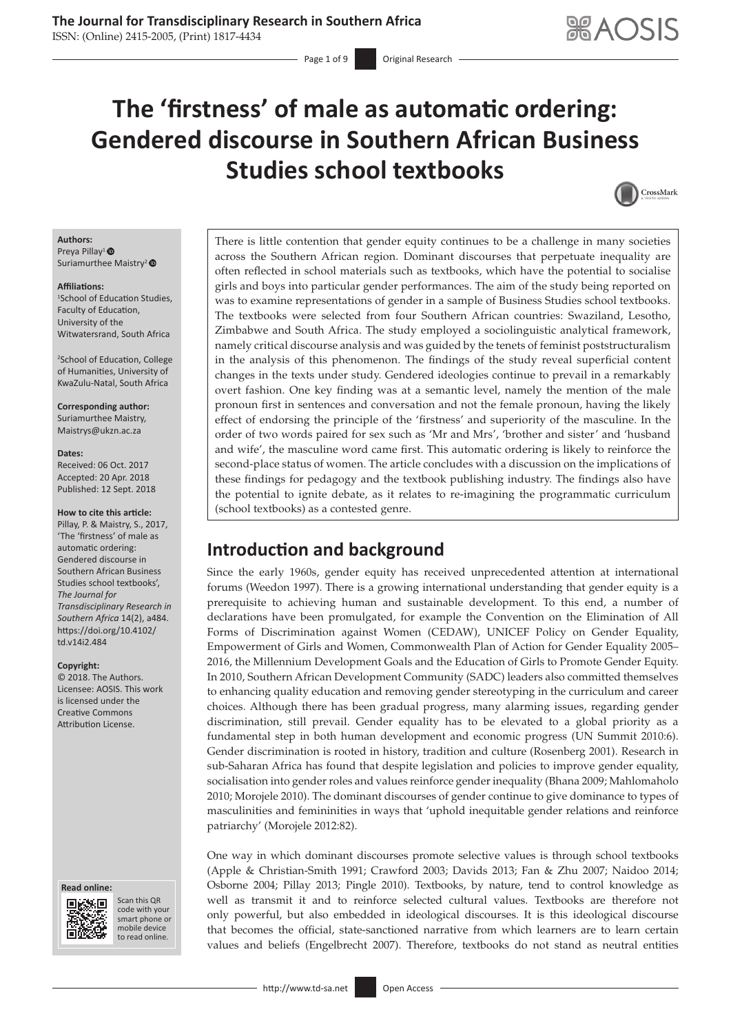Page 1 of 9 **Original Research** 

# **The 'firstness' of male as automatic ordering: Gendered discourse in Southern African Business Studies school textbooks**



### **Authors:**

Preya Pillay<sup>1</sup> Suriamurthee Maistry<sup>2</sup>

#### **Affiliations:**

1 School of Education Studies, Faculty of Education, University of the Witwatersrand, South Africa

2 School of Education, College of Humanities, University of KwaZulu-Natal, South Africa

#### **Corresponding author:**

Suriamurthee Maistry, [Maistrys@ukzn.ac.za](mailto:Maistrys@ukzn.ac.za)

#### **Dates:**

Received: 06 Oct. 2017 Accepted: 20 Apr. 2018 Published: 12 Sept. 2018

#### **How to cite this article:**

Pillay, P. & Maistry, S., 2017, 'The 'firstness' of male as automatic ordering: Gendered discourse in Southern African Business Studies school textbooks', *The Journal for Transdisciplinary Research in Southern Africa* 14(2), a484. [https://doi.org/10.4102/](https://doi.org/10.4102/td.v14i2.484) [td.v14i2.484](https://doi.org/10.4102/td.v14i2.484)

#### **Copyright:**

© 2018. The Authors. Licensee: AOSIS. This work is licensed under the Creative Commons Attribution License.

#### **Read online: Read**



Scan this QR code with your Scan this QR<br>code with your<br>smart phone or<br>mobile device mobile device to read online. to read online.

There is little contention that gender equity continues to be a challenge in many societies across the Southern African region. Dominant discourses that perpetuate inequality are often reflected in school materials such as textbooks, which have the potential to socialise girls and boys into particular gender performances. The aim of the study being reported on was to examine representations of gender in a sample of Business Studies school textbooks. The textbooks were selected from four Southern African countries: Swaziland, Lesotho, Zimbabwe and South Africa. The study employed a sociolinguistic analytical framework, namely critical discourse analysis and was guided by the tenets of feminist poststructuralism in the analysis of this phenomenon. The findings of the study reveal superficial content changes in the texts under study. Gendered ideologies continue to prevail in a remarkably overt fashion. One key finding was at a semantic level, namely the mention of the male pronoun first in sentences and conversation and not the female pronoun, having the likely effect of endorsing the principle of the 'firstness' and superiority of the masculine. In the order of two words paired for sex such as 'Mr and Mrs', 'brother and sister' and 'husband and wife', the masculine word came first. This automatic ordering is likely to reinforce the second-place status of women. The article concludes with a discussion on the implications of these findings for pedagogy and the textbook publishing industry. The findings also have the potential to ignite debate, as it relates to re-imagining the programmatic curriculum (school textbooks) as a contested genre.

# **Introduction and background**

Since the early 1960s, gender equity has received unprecedented attention at international forums (Weedon 1997). There is a growing international understanding that gender equity is a prerequisite to achieving human and sustainable development. To this end, a number of declarations have been promulgated, for example the Convention on the Elimination of All Forms of Discrimination against Women (CEDAW), UNICEF Policy on Gender Equality, Empowerment of Girls and Women, Commonwealth Plan of Action for Gender Equality 2005– 2016, the Millennium Development Goals and the Education of Girls to Promote Gender Equity. In 2010, Southern African Development Community (SADC) leaders also committed themselves to enhancing quality education and removing gender stereotyping in the curriculum and career choices. Although there has been gradual progress, many alarming issues, regarding gender discrimination, still prevail. Gender equality has to be elevated to a global priority as a fundamental step in both human development and economic progress (UN Summit 2010:6). Gender discrimination is rooted in history, tradition and culture (Rosenberg 2001). Research in sub-Saharan Africa has found that despite legislation and policies to improve gender equality, socialisation into gender roles and values reinforce gender inequality (Bhana 2009; Mahlomaholo 2010; Morojele 2010). The dominant discourses of gender continue to give dominance to types of masculinities and femininities in ways that 'uphold inequitable gender relations and reinforce patriarchy' (Morojele 2012:82).

One way in which dominant discourses promote selective values is through school textbooks (Apple & Christian-Smith 1991; Crawford 2003; Davids 2013; Fan & Zhu 2007; Naidoo 2014; Osborne 2004; Pillay 2013; Pingle 2010). Textbooks, by nature, tend to control knowledge as well as transmit it and to reinforce selected cultural values. Textbooks are therefore not only powerful, but also embedded in ideological discourses. It is this ideological discourse that becomes the official, state-sanctioned narrative from which learners are to learn certain values and beliefs (Engelbrecht 2007). Therefore, textbooks do not stand as neutral entities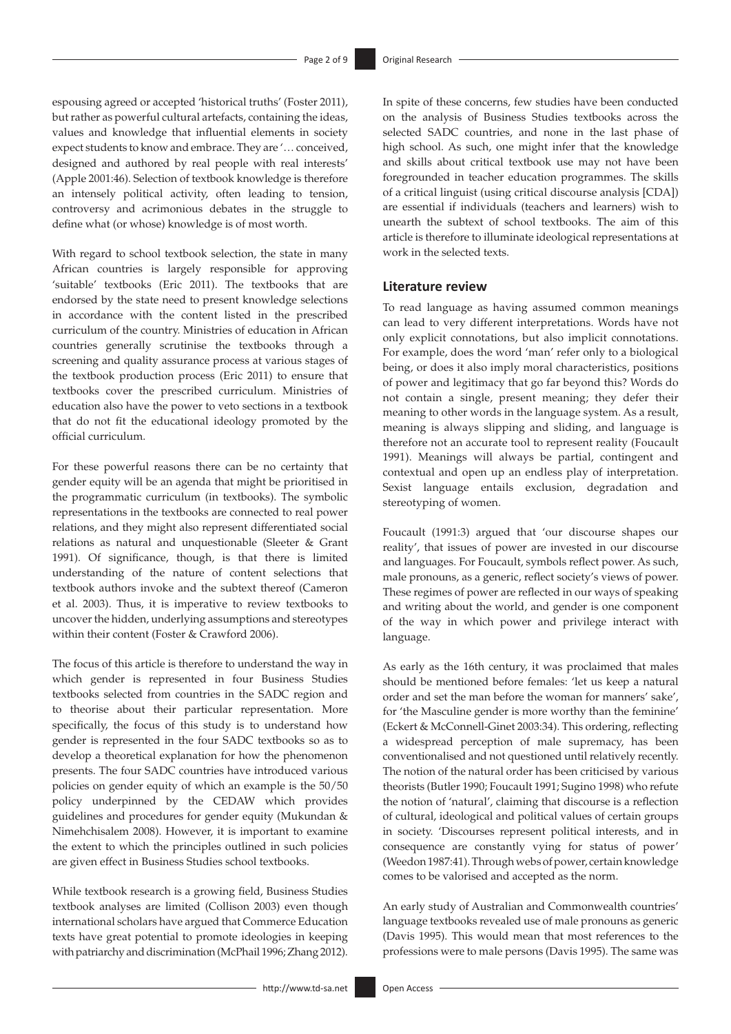espousing agreed or accepted 'historical truths' (Foster 2011), but rather as powerful cultural artefacts, containing the ideas, values and knowledge that influential elements in society expect students to know and embrace. They are '… conceived, designed and authored by real people with real interests' (Apple 2001:46). Selection of textbook knowledge is therefore an intensely political activity, often leading to tension, controversy and acrimonious debates in the struggle to define what (or whose) knowledge is of most worth.

With regard to school textbook selection, the state in many African countries is largely responsible for approving 'suitable' textbooks (Eric 2011). The textbooks that are endorsed by the state need to present knowledge selections in accordance with the content listed in the prescribed curriculum of the country. Ministries of education in African countries generally scrutinise the textbooks through a screening and quality assurance process at various stages of the textbook production process (Eric 2011) to ensure that textbooks cover the prescribed curriculum. Ministries of education also have the power to veto sections in a textbook that do not fit the educational ideology promoted by the official curriculum.

For these powerful reasons there can be no certainty that gender equity will be an agenda that might be prioritised in the programmatic curriculum (in textbooks). The symbolic representations in the textbooks are connected to real power relations, and they might also represent differentiated social relations as natural and unquestionable (Sleeter & Grant 1991). Of significance, though, is that there is limited understanding of the nature of content selections that textbook authors invoke and the subtext thereof (Cameron et al. 2003). Thus, it is imperative to review textbooks to uncover the hidden, underlying assumptions and stereotypes within their content (Foster & Crawford 2006).

The focus of this article is therefore to understand the way in which gender is represented in four Business Studies textbooks selected from countries in the SADC region and to theorise about their particular representation. More specifically, the focus of this study is to understand how gender is represented in the four SADC textbooks so as to develop a theoretical explanation for how the phenomenon presents. The four SADC countries have introduced various policies on gender equity of which an example is the 50/50 policy underpinned by the CEDAW which provides guidelines and procedures for gender equity (Mukundan & Nimehchisalem 2008). However, it is important to examine the extent to which the principles outlined in such policies are given effect in Business Studies school textbooks.

While textbook research is a growing field, Business Studies textbook analyses are limited (Collison 2003) even though international scholars have argued that Commerce Education texts have great potential to promote ideologies in keeping with patriarchy and discrimination (McPhail 1996; Zhang 2012). In spite of these concerns, few studies have been conducted on the analysis of Business Studies textbooks across the selected SADC countries, and none in the last phase of high school. As such, one might infer that the knowledge and skills about critical textbook use may not have been foregrounded in teacher education programmes. The skills of a critical linguist (using critical discourse analysis [CDA]) are essential if individuals (teachers and learners) wish to unearth the subtext of school textbooks. The aim of this article is therefore to illuminate ideological representations at work in the selected texts.

### **Literature review**

To read language as having assumed common meanings can lead to very different interpretations. Words have not only explicit connotations, but also implicit connotations. For example, does the word 'man' refer only to a biological being, or does it also imply moral characteristics, positions of power and legitimacy that go far beyond this? Words do not contain a single, present meaning; they defer their meaning to other words in the language system. As a result, meaning is always slipping and sliding, and language is therefore not an accurate tool to represent reality (Foucault 1991). Meanings will always be partial, contingent and contextual and open up an endless play of interpretation. Sexist language entails exclusion, degradation and stereotyping of women.

Foucault (1991:3) argued that 'our discourse shapes our reality', that issues of power are invested in our discourse and languages. For Foucault, symbols reflect power. As such, male pronouns, as a generic, reflect society's views of power. These regimes of power are reflected in our ways of speaking and writing about the world, and gender is one component of the way in which power and privilege interact with language.

As early as the 16th century, it was proclaimed that males should be mentioned before females: 'let us keep a natural order and set the man before the woman for manners' sake', for 'the Masculine gender is more worthy than the feminine' (Eckert & McConnell-Ginet 2003:34). This ordering, reflecting a widespread perception of male supremacy, has been conventionalised and not questioned until relatively recently. The notion of the natural order has been criticised by various theorists (Butler 1990; Foucault 1991; Sugino 1998) who refute the notion of 'natural', claiming that discourse is a reflection of cultural, ideological and political values of certain groups in society. 'Discourses represent political interests, and in consequence are constantly vying for status of power' (Weedon 1987:41). Through webs of power, certain knowledge comes to be valorised and accepted as the norm.

An early study of Australian and Commonwealth countries' language textbooks revealed use of male pronouns as generic (Davis 1995). This would mean that most references to the professions were to male persons (Davis 1995). The same was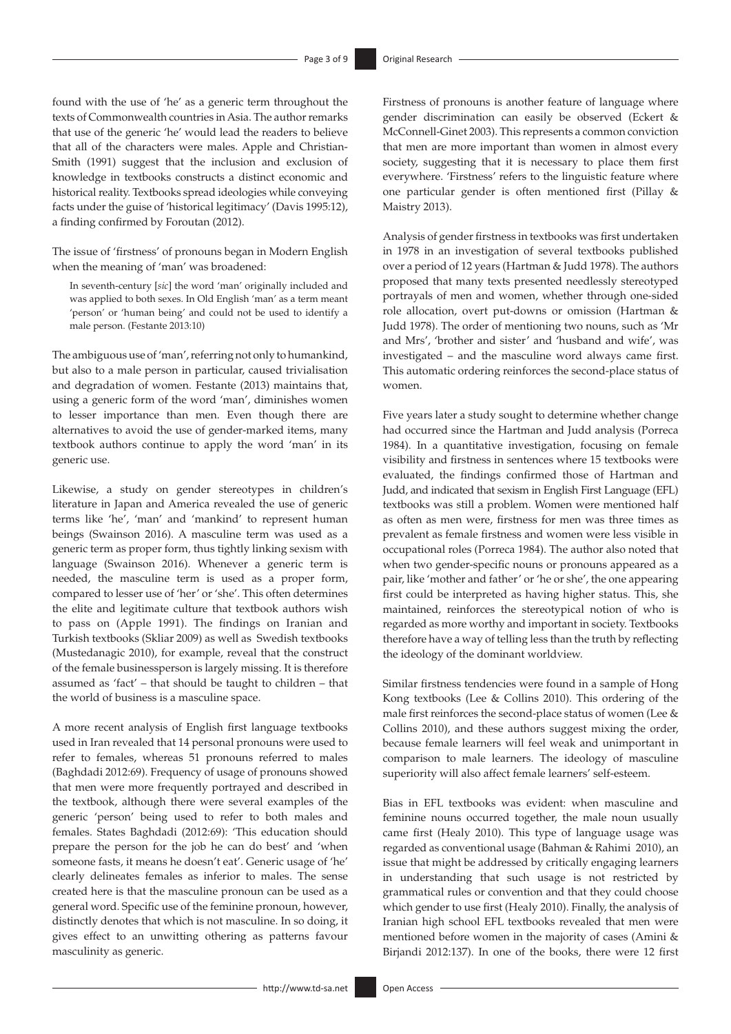found with the use of 'he' as a generic term throughout the texts of Commonwealth countries in Asia. The author remarks that use of the generic 'he' would lead the readers to believe that all of the characters were males. Apple and Christian-Smith (1991) suggest that the inclusion and exclusion of knowledge in textbooks constructs a distinct economic and historical reality. Textbooks spread ideologies while conveying facts under the guise of 'historical legitimacy' (Davis 1995:12), a finding confirmed by Foroutan (2012).

The issue of 'firstness' of pronouns began in Modern English when the meaning of 'man' was broadened:

In seventh-century [*sic*] the word 'man' originally included and was applied to both sexes. In Old English 'man' as a term meant 'person' or 'human being' and could not be used to identify a male person. (Festante 2013:10)

The ambiguous use of 'man', referring not only to humankind, but also to a male person in particular, caused trivialisation and degradation of women. Festante (2013) maintains that, using a generic form of the word 'man', diminishes women to lesser importance than men. Even though there are alternatives to avoid the use of gender-marked items, many textbook authors continue to apply the word 'man' in its generic use.

Likewise, a study on gender stereotypes in children's literature in Japan and America revealed the use of generic terms like 'he', 'man' and 'mankind' to represent human beings (Swainson 2016). A masculine term was used as a generic term as proper form, thus tightly linking sexism with language (Swainson 2016). Whenever a generic term is needed, the masculine term is used as a proper form, compared to lesser use of 'her' or 'she'. This often determines the elite and legitimate culture that textbook authors wish to pass on (Apple 1991). The findings on Iranian and Turkish textbooks (Skliar 2009) as well as Swedish textbooks (Mustedanagic 2010), for example, reveal that the construct of the female businessperson is largely missing. It is therefore assumed as 'fact' – that should be taught to children – that the world of business is a masculine space.

A more recent analysis of English first language textbooks used in Iran revealed that 14 personal pronouns were used to refer to females, whereas 51 pronouns referred to males (Baghdadi 2012:69). Frequency of usage of pronouns showed that men were more frequently portrayed and described in the textbook, although there were several examples of the generic 'person' being used to refer to both males and females. States Baghdadi (2012:69): 'This education should prepare the person for the job he can do best' and 'when someone fasts, it means he doesn't eat'. Generic usage of 'he' clearly delineates females as inferior to males. The sense created here is that the masculine pronoun can be used as a general word. Specific use of the feminine pronoun, however, distinctly denotes that which is not masculine. In so doing, it gives effect to an unwitting othering as patterns favour masculinity as generic.

Firstness of pronouns is another feature of language where gender discrimination can easily be observed (Eckert & McConnell-Ginet 2003). This represents a common conviction that men are more important than women in almost every society, suggesting that it is necessary to place them first everywhere. 'Firstness' refers to the linguistic feature where one particular gender is often mentioned first (Pillay & Maistry 2013).

Analysis of gender firstness in textbooks was first undertaken in 1978 in an investigation of several textbooks published over a period of 12 years (Hartman & Judd 1978). The authors proposed that many texts presented needlessly stereotyped portrayals of men and women, whether through one-sided role allocation, overt put-downs or omission (Hartman & Judd 1978). The order of mentioning two nouns, such as 'Mr and Mrs', 'brother and sister' and 'husband and wife', was investigated – and the masculine word always came first. This automatic ordering reinforces the second-place status of women.

Five years later a study sought to determine whether change had occurred since the Hartman and Judd analysis (Porreca 1984). In a quantitative investigation, focusing on female visibility and firstness in sentences where 15 textbooks were evaluated, the findings confirmed those of Hartman and Judd, and indicated that sexism in English First Language (EFL) textbooks was still a problem. Women were mentioned half as often as men were, firstness for men was three times as prevalent as female firstness and women were less visible in occupational roles (Porreca 1984). The author also noted that when two gender-specific nouns or pronouns appeared as a pair, like 'mother and father' or 'he or she', the one appearing first could be interpreted as having higher status. This, she maintained, reinforces the stereotypical notion of who is regarded as more worthy and important in society. Textbooks therefore have a way of telling less than the truth by reflecting the ideology of the dominant worldview.

Similar firstness tendencies were found in a sample of Hong Kong textbooks (Lee & Collins 2010). This ordering of the male first reinforces the second-place status of women (Lee & Collins 2010), and these authors suggest mixing the order, because female learners will feel weak and unimportant in comparison to male learners. The ideology of masculine superiority will also affect female learners' self-esteem.

Bias in EFL textbooks was evident: when masculine and feminine nouns occurred together, the male noun usually came first (Healy 2010). This type of language usage was regarded as conventional usage (Bahman & Rahimi 2010), an issue that might be addressed by critically engaging learners in understanding that such usage is not restricted by grammatical rules or convention and that they could choose which gender to use first (Healy 2010). Finally, the analysis of Iranian high school EFL textbooks revealed that men were mentioned before women in the majority of cases (Amini & Birjandi 2012:137). In one of the books, there were 12 first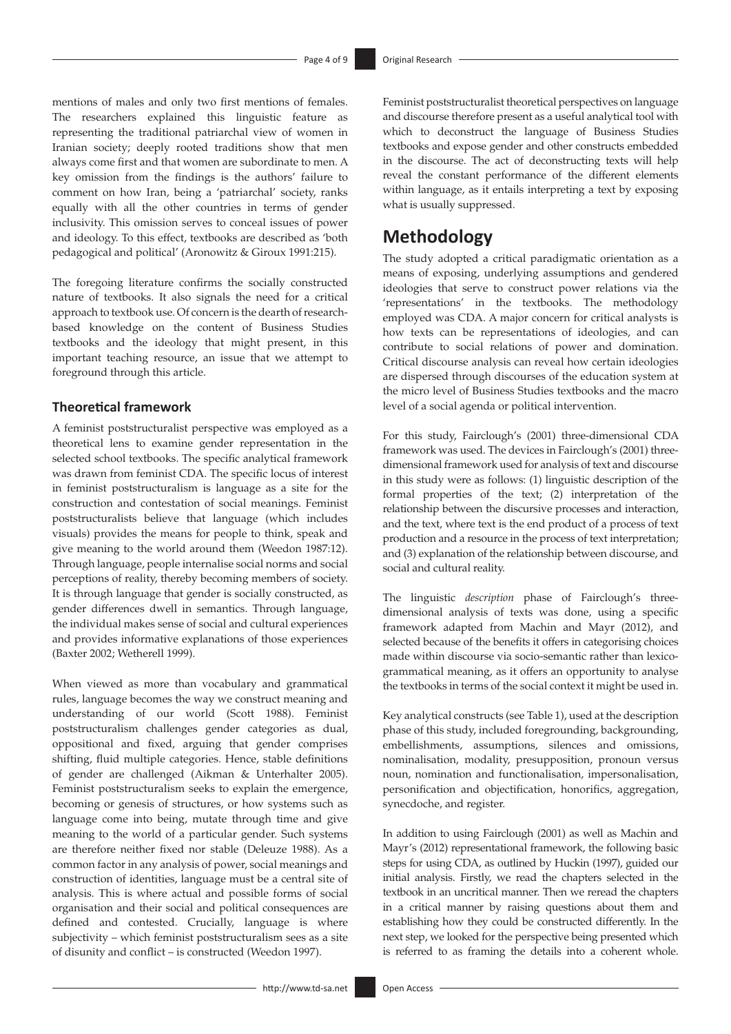mentions of males and only two first mentions of females. The researchers explained this linguistic feature as representing the traditional patriarchal view of women in Iranian society; deeply rooted traditions show that men always come first and that women are subordinate to men. A key omission from the findings is the authors' failure to comment on how Iran, being a 'patriarchal' society, ranks equally with all the other countries in terms of gender inclusivity. This omission serves to conceal issues of power and ideology. To this effect, textbooks are described as 'both pedagogical and political' (Aronowitz & Giroux 1991:215).

The foregoing literature confirms the socially constructed nature of textbooks. It also signals the need for a critical approach to textbook use. Of concern is the dearth of researchbased knowledge on the content of Business Studies textbooks and the ideology that might present, in this important teaching resource, an issue that we attempt to foreground through this article.

### **Theoretical framework**

A feminist poststructuralist perspective was employed as a theoretical lens to examine gender representation in the selected school textbooks. The specific analytical framework was drawn from feminist CDA. The specific locus of interest in feminist poststructuralism is language as a site for the construction and contestation of social meanings. Feminist poststructuralists believe that language (which includes visuals) provides the means for people to think, speak and give meaning to the world around them (Weedon 1987:12). Through language, people internalise social norms and social perceptions of reality, thereby becoming members of society. It is through language that gender is socially constructed, as gender differences dwell in semantics. Through language, the individual makes sense of social and cultural experiences and provides informative explanations of those experiences (Baxter 2002; Wetherell 1999).

When viewed as more than vocabulary and grammatical rules, language becomes the way we construct meaning and understanding of our world (Scott 1988). Feminist poststructuralism challenges gender categories as dual, oppositional and fixed, arguing that gender comprises shifting, fluid multiple categories. Hence, stable definitions of gender are challenged (Aikman & Unterhalter 2005). Feminist poststructuralism seeks to explain the emergence, becoming or genesis of structures, or how systems such as language come into being, mutate through time and give meaning to the world of a particular gender. Such systems are therefore neither fixed nor stable (Deleuze 1988). As a common factor in any analysis of power, social meanings and construction of identities, language must be a central site of analysis. This is where actual and possible forms of social organisation and their social and political consequences are defined and contested. Crucially, language is where subjectivity – which feminist poststructuralism sees as a site of disunity and conflict – is constructed (Weedon 1997).

Feminist poststructuralist theoretical perspectives on language and discourse therefore present as a useful analytical tool with which to deconstruct the language of Business Studies textbooks and expose gender and other constructs embedded in the discourse. The act of deconstructing texts will help reveal the constant performance of the different elements within language, as it entails interpreting a text by exposing what is usually suppressed.

# **Methodology**

The study adopted a critical paradigmatic orientation as a means of exposing, underlying assumptions and gendered ideologies that serve to construct power relations via the 'representations' in the textbooks. The methodology employed was CDA. A major concern for critical analysts is how texts can be representations of ideologies, and can contribute to social relations of power and domination. Critical discourse analysis can reveal how certain ideologies are dispersed through discourses of the education system at the micro level of Business Studies textbooks and the macro level of a social agenda or political intervention.

For this study, Fairclough's (2001) three-dimensional CDA framework was used. The devices in Fairclough's (2001) threedimensional framework used for analysis of text and discourse in this study were as follows: (1) linguistic description of the formal properties of the text; (2) interpretation of the relationship between the discursive processes and interaction, and the text, where text is the end product of a process of text production and a resource in the process of text interpretation; and (3) explanation of the relationship between discourse, and social and cultural reality.

The linguistic *description* phase of Fairclough's threedimensional analysis of texts was done, using a specific framework adapted from Machin and Mayr (2012), and selected because of the benefits it offers in categorising choices made within discourse via socio-semantic rather than lexicogrammatical meaning, as it offers an opportunity to analyse the textbooks in terms of the social context it might be used in.

Key analytical constructs (see Table 1), used at the description phase of this study, included foregrounding, backgrounding, embellishments, assumptions, silences and omissions, nominalisation, modality, presupposition, pronoun versus noun, nomination and functionalisation, impersonalisation, personification and objectification, honorifics, aggregation, synecdoche, and register.

In addition to using Fairclough (2001) as well as Machin and Mayr's (2012) representational framework, the following basic steps for using CDA, as outlined by Huckin (1997), guided our initial analysis. Firstly, we read the chapters selected in the textbook in an uncritical manner. Then we reread the chapters in a critical manner by raising questions about them and establishing how they could be constructed differently. In the next step, we looked for the perspective being presented which is referred to as framing the details into a coherent whole.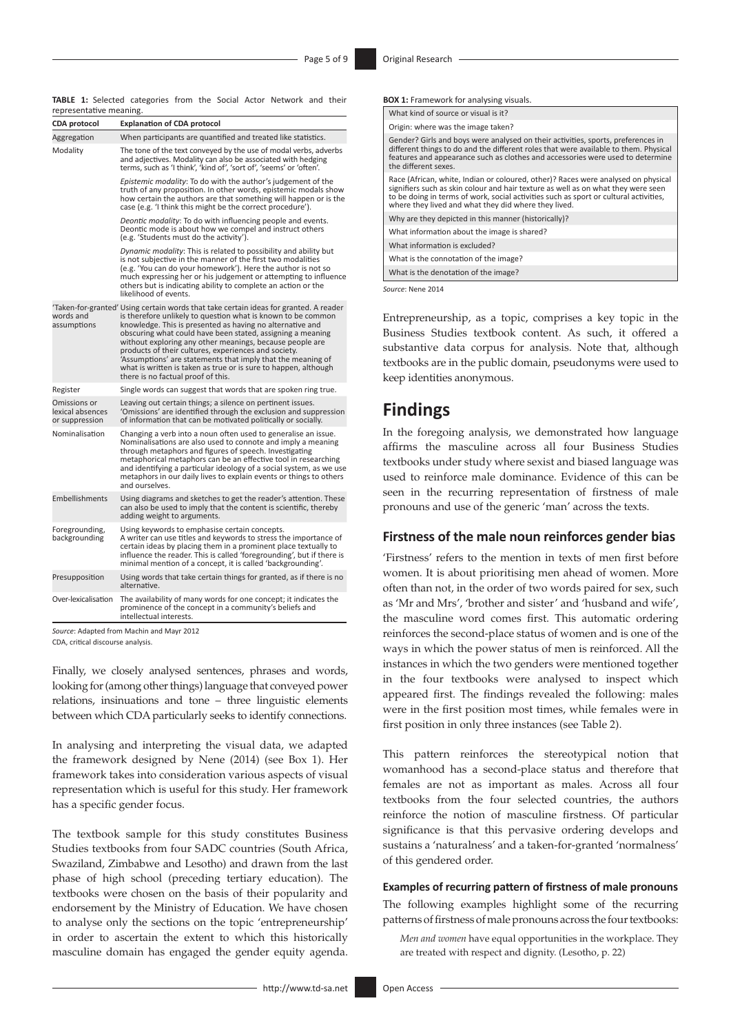**TABLE 1:** Selected categories from the Social Actor Network and their representative meaning.

| <b>CDA protocol</b>                                | <b>Explanation of CDA protocol</b>                                                                                                                                                                                                                                                                                                                                                                                                                                                                                                                                           |  |  |  |  |
|----------------------------------------------------|------------------------------------------------------------------------------------------------------------------------------------------------------------------------------------------------------------------------------------------------------------------------------------------------------------------------------------------------------------------------------------------------------------------------------------------------------------------------------------------------------------------------------------------------------------------------------|--|--|--|--|
| Aggregation                                        | When participants are quantified and treated like statistics.                                                                                                                                                                                                                                                                                                                                                                                                                                                                                                                |  |  |  |  |
| Modality                                           | The tone of the text conveyed by the use of modal verbs, adverbs<br>and adjectives. Modality can also be associated with hedging<br>terms, such as 'I think', 'kind of', 'sort of', 'seems' or 'often'.                                                                                                                                                                                                                                                                                                                                                                      |  |  |  |  |
|                                                    | Epistemic modality: To do with the author's judgement of the<br>truth of any proposition. In other words, epistemic modals show<br>how certain the authors are that something will happen or is the<br>case (e.g. 'I think this might be the correct procedure').                                                                                                                                                                                                                                                                                                            |  |  |  |  |
|                                                    | Deontic modality: To do with influencing people and events.<br>Deontic mode is about how we compel and instruct others<br>(e.g. 'Students must do the activity').                                                                                                                                                                                                                                                                                                                                                                                                            |  |  |  |  |
|                                                    | Dynamic modality: This is related to possibility and ability but<br>is not subjective in the manner of the first two modalities<br>(e.g. 'You can do your homework'). Here the author is not so<br>much expressing her or his judgement or attempting to influence<br>others but is indicating ability to complete an action or the<br>likelihood of events.                                                                                                                                                                                                                 |  |  |  |  |
| words and<br>assumptions                           | 'Taken-for-granted' Using certain words that take certain ideas for granted. A reader<br>is therefore unlikely to question what is known to be common<br>knowledge. This is presented as having no alternative and<br>obscuring what could have been stated, assigning a meaning<br>without exploring any other meanings, because people are<br>products of their cultures, experiences and society.<br>'Assumptions' are statements that imply that the meaning of<br>what is written is taken as true or is sure to happen, although<br>there is no factual proof of this. |  |  |  |  |
| Register                                           | Single words can suggest that words that are spoken ring true.                                                                                                                                                                                                                                                                                                                                                                                                                                                                                                               |  |  |  |  |
| Omissions or<br>lexical absences<br>or suppression | Leaving out certain things; a silence on pertinent issues.<br>'Omissions' are identified through the exclusion and suppression<br>of information that can be motivated politically or socially.                                                                                                                                                                                                                                                                                                                                                                              |  |  |  |  |
| Nominalisation                                     | Changing a verb into a noun often used to generalise an issue.<br>Nominalisations are also used to connote and imply a meaning<br>through metaphors and figures of speech. Investigating<br>metaphorical metaphors can be an effective tool in researching<br>and identifying a particular ideology of a social system, as we use<br>metaphors in our daily lives to explain events or things to others<br>and ourselves.                                                                                                                                                    |  |  |  |  |
| Embellishments                                     | Using diagrams and sketches to get the reader's attention. These<br>can also be used to imply that the content is scientific, thereby<br>adding weight to arguments.                                                                                                                                                                                                                                                                                                                                                                                                         |  |  |  |  |
| Foregrounding,<br>backgrounding                    | Using keywords to emphasise certain concepts.<br>A writer can use titles and keywords to stress the importance of<br>certain ideas by placing them in a prominent place textually to<br>influence the reader. This is called 'foregrounding', but if there is<br>minimal mention of a concept, it is called 'backgrounding'.                                                                                                                                                                                                                                                 |  |  |  |  |
| Presupposition                                     | Using words that take certain things for granted, as if there is no<br>alternative.                                                                                                                                                                                                                                                                                                                                                                                                                                                                                          |  |  |  |  |
| Over-lexicalisation                                | The availability of many words for one concept; it indicates the<br>prominence of the concept in a community's beliefs and<br>intellectual interests.                                                                                                                                                                                                                                                                                                                                                                                                                        |  |  |  |  |

*Source*: Adapted from Machin and Mayr 2012

CDA, critical discourse analysis.

Finally, we closely analysed sentences, phrases and words, looking for (among other things) language that conveyed power relations, insinuations and tone – three linguistic elements between which CDA particularly seeks to identify connections.

In analysing and interpreting the visual data, we adapted the framework designed by Nene (2014) (see Box 1). Her framework takes into consideration various aspects of visual representation which is useful for this study. Her framework has a specific gender focus.

The textbook sample for this study constitutes Business Studies textbooks from four SADC countries (South Africa, Swaziland, Zimbabwe and Lesotho) and drawn from the last phase of high school (preceding tertiary education). The textbooks were chosen on the basis of their popularity and endorsement by the Ministry of Education. We have chosen to analyse only the sections on the topic 'entrepreneurship' in order to ascertain the extent to which this historically masculine domain has engaged the gender equity agenda.

| <b>BOX 1:</b> Framework for analysing visuals.                                                                                                                                                                                                                                                                          |
|-------------------------------------------------------------------------------------------------------------------------------------------------------------------------------------------------------------------------------------------------------------------------------------------------------------------------|
| What kind of source or visual is it?                                                                                                                                                                                                                                                                                    |
| Origin: where was the image taken?                                                                                                                                                                                                                                                                                      |
| Gender? Girls and boys were analysed on their activities, sports, preferences in<br>different things to do and the different roles that were available to them. Physical<br>features and appearance such as clothes and accessories were used to determine<br>the different sexes.                                      |
| Race (African, white, Indian or coloured, other)? Races were analysed on physical<br>signifiers such as skin colour and hair texture as well as on what they were seen<br>to be doing in terms of work, social activities such as sport or cultural activities,<br>where they lived and what they did where they lived. |
| Why are they depicted in this manner (historically)?                                                                                                                                                                                                                                                                    |
| What information about the image is shared?                                                                                                                                                                                                                                                                             |
| What information is excluded?                                                                                                                                                                                                                                                                                           |
| What is the connotation of the image?                                                                                                                                                                                                                                                                                   |
| What is the denotation of the image?                                                                                                                                                                                                                                                                                    |
| Source: Nene 2014                                                                                                                                                                                                                                                                                                       |

Entrepreneurship, as a topic, comprises a key topic in the Business Studies textbook content. As such, it offered a substantive data corpus for analysis. Note that, although textbooks are in the public domain, pseudonyms were used to

# **Findings**

keep identities anonymous.

In the foregoing analysis, we demonstrated how language affirms the masculine across all four Business Studies textbooks under study where sexist and biased language was used to reinforce male dominance. Evidence of this can be seen in the recurring representation of firstness of male pronouns and use of the generic 'man' across the texts.

### **Firstness of the male noun reinforces gender bias**

'Firstness' refers to the mention in texts of men first before women. It is about prioritising men ahead of women. More often than not, in the order of two words paired for sex, such as 'Mr and Mrs', 'brother and sister' and 'husband and wife', the masculine word comes first. This automatic ordering reinforces the second-place status of women and is one of the ways in which the power status of men is reinforced. All the instances in which the two genders were mentioned together in the four textbooks were analysed to inspect which appeared first. The findings revealed the following: males were in the first position most times, while females were in first position in only three instances (see Table 2).

This pattern reinforces the stereotypical notion that womanhood has a second-place status and therefore that females are not as important as males. Across all four textbooks from the four selected countries, the authors reinforce the notion of masculine firstness. Of particular significance is that this pervasive ordering develops and sustains a 'naturalness' and a taken-for-granted 'normalness' of this gendered order.

#### **Examples of recurring pattern of firstness of male pronouns**

The following examples highlight some of the recurring patterns of firstness of male pronouns across the four textbooks:

*Men and women* have equal opportunities in the workplace. They are treated with respect and dignity. (Lesotho, p. 22)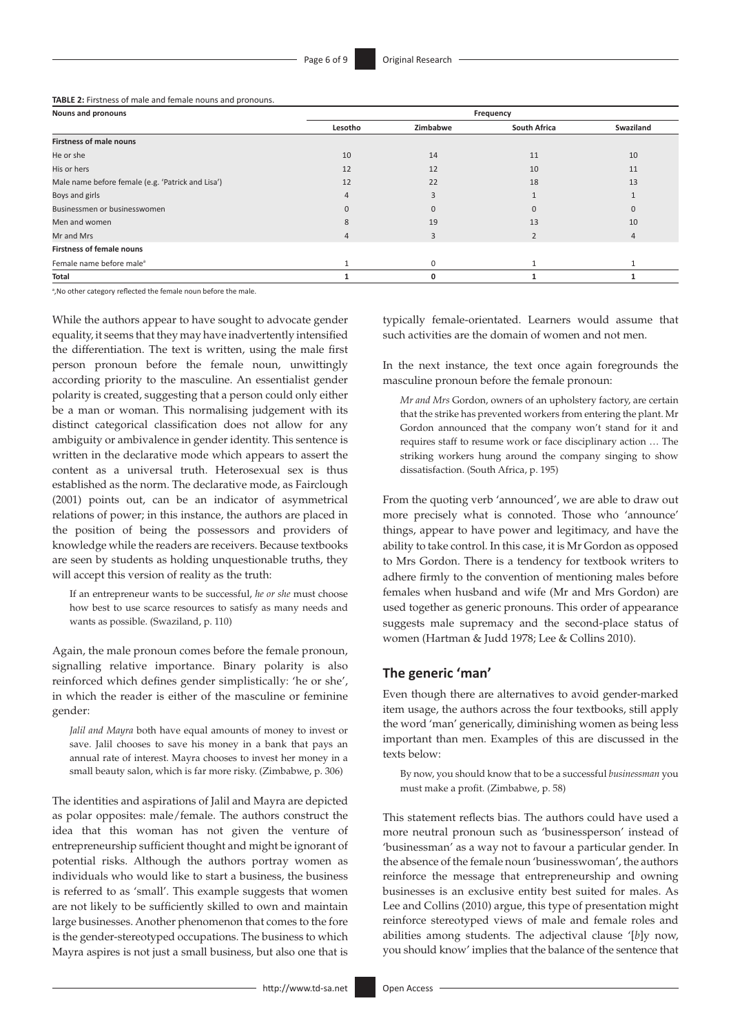**TABLE 2:** Firstness of male and female nouns and pronouns.

| Nouns and pronouns                                | Frequency |             |                     |           |
|---------------------------------------------------|-----------|-------------|---------------------|-----------|
|                                                   | Lesotho   | Zimbabwe    | <b>South Africa</b> | Swaziland |
| <b>Firstness of male nouns</b>                    |           |             |                     |           |
| He or she                                         | 10        | 14          | 11                  | 10        |
| His or hers                                       | 12        | 12          | 10                  | 11        |
| Male name before female (e.g. 'Patrick and Lisa') | 12        | 22          | 18                  | 13        |
| Boys and girls                                    |           |             |                     |           |
| Businessmen or businesswomen                      |           | $\Omega$    | U                   |           |
| Men and women                                     | 8         | 19          | 13                  | 10        |
| Mr and Mrs                                        |           | 3           | $\overline{2}$      | 4         |
| <b>Firstness of female nouns</b>                  |           |             |                     |           |
| Female name before male <sup>a</sup>              |           | $\mathbf 0$ |                     |           |
| Total                                             |           | 0           |                     |           |

<sup>a</sup>, No other category reflected the female noun before the male.

While the authors appear to have sought to advocate gender equality, it seems that they may have inadvertently intensified the differentiation. The text is written, using the male first person pronoun before the female noun, unwittingly according priority to the masculine. An essentialist gender polarity is created, suggesting that a person could only either be a man or woman. This normalising judgement with its distinct categorical classification does not allow for any ambiguity or ambivalence in gender identity. This sentence is written in the declarative mode which appears to assert the content as a universal truth. Heterosexual sex is thus established as the norm. The declarative mode, as Fairclough (2001) points out, can be an indicator of asymmetrical relations of power; in this instance, the authors are placed in the position of being the possessors and providers of knowledge while the readers are receivers. Because textbooks are seen by students as holding unquestionable truths, they will accept this version of reality as the truth:

If an entrepreneur wants to be successful, *he or she* must choose how best to use scarce resources to satisfy as many needs and wants as possible. (Swaziland, p. 110)

Again, the male pronoun comes before the female pronoun, signalling relative importance. Binary polarity is also reinforced which defines gender simplistically: 'he or she', in which the reader is either of the masculine or feminine gender:

*Jalil and Mayra* both have equal amounts of money to invest or save. Jalil chooses to save his money in a bank that pays an annual rate of interest. Mayra chooses to invest her money in a small beauty salon, which is far more risky. (Zimbabwe, p. 306)

The identities and aspirations of Jalil and Mayra are depicted as polar opposites: male/female. The authors construct the idea that this woman has not given the venture of entrepreneurship sufficient thought and might be ignorant of potential risks. Although the authors portray women as individuals who would like to start a business, the business is referred to as 'small'. This example suggests that women are not likely to be sufficiently skilled to own and maintain large businesses. Another phenomenon that comes to the fore is the gender-stereotyped occupations. The business to which Mayra aspires is not just a small business, but also one that is

typically female-orientated. Learners would assume that such activities are the domain of women and not men.

In the next instance, the text once again foregrounds the masculine pronoun before the female pronoun:

*Mr and Mrs* Gordon, owners of an upholstery factory, are certain that the strike has prevented workers from entering the plant. Mr Gordon announced that the company won't stand for it and requires staff to resume work or face disciplinary action … The striking workers hung around the company singing to show dissatisfaction. (South Africa, p. 195)

From the quoting verb 'announced', we are able to draw out more precisely what is connoted. Those who 'announce' things, appear to have power and legitimacy, and have the ability to take control. In this case, it is Mr Gordon as opposed to Mrs Gordon. There is a tendency for textbook writers to adhere firmly to the convention of mentioning males before females when husband and wife (Mr and Mrs Gordon) are used together as generic pronouns. This order of appearance suggests male supremacy and the second-place status of women (Hartman & Judd 1978; Lee & Collins 2010).

#### **The generic 'man'**

Even though there are alternatives to avoid gender-marked item usage, the authors across the four textbooks, still apply the word 'man' generically, diminishing women as being less important than men. Examples of this are discussed in the texts below:

By now, you should know that to be a successful *businessman* you must make a profit. (Zimbabwe, p. 58)

This statement reflects bias. The authors could have used a more neutral pronoun such as 'businessperson' instead of 'businessman' as a way not to favour a particular gender. In the absence of the female noun 'businesswoman', the authors reinforce the message that entrepreneurship and owning businesses is an exclusive entity best suited for males. As Lee and Collins (2010) argue, this type of presentation might reinforce stereotyped views of male and female roles and abilities among students. The adjectival clause '[*b*]y now, you should know' implies that the balance of the sentence that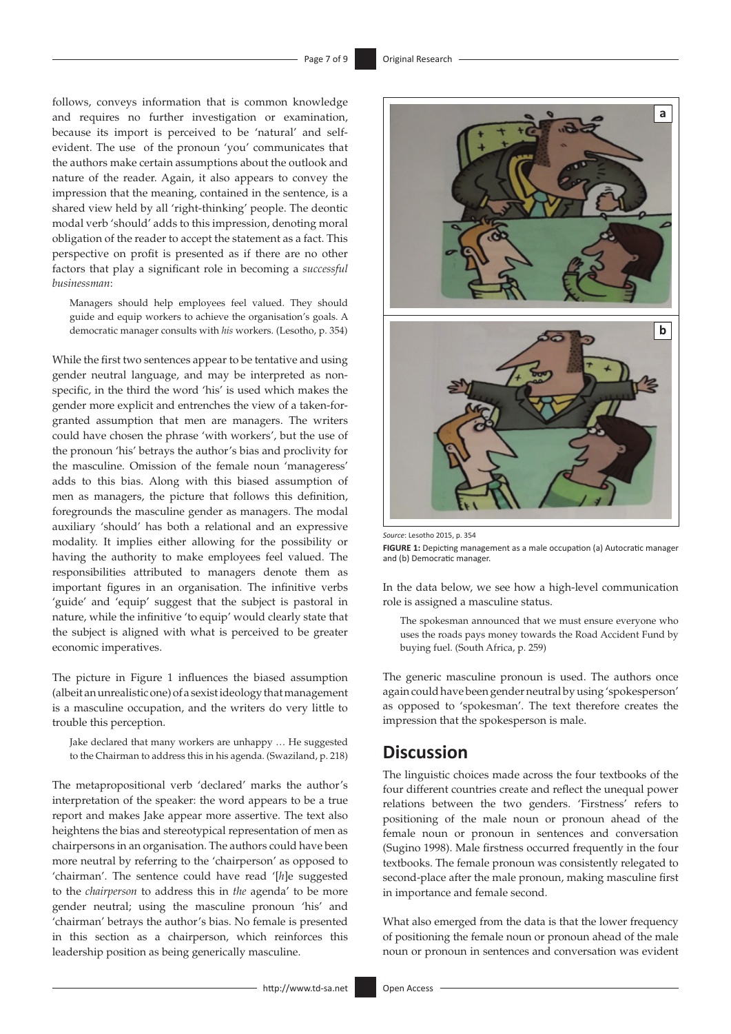follows, conveys information that is common knowledge and requires no further investigation or examination, because its import is perceived to be 'natural' and selfevident. The use of the pronoun 'you' communicates that the authors make certain assumptions about the outlook and nature of the reader. Again, it also appears to convey the impression that the meaning, contained in the sentence, is a shared view held by all 'right-thinking' people. The deontic modal verb 'should' adds to this impression, denoting moral obligation of the reader to accept the statement as a fact. This perspective on profit is presented as if there are no other factors that play a significant role in becoming a *successful businessman*:

Managers should help employees feel valued. They should guide and equip workers to achieve the organisation's goals. A democratic manager consults with *his* workers. (Lesotho, p. 354)

While the first two sentences appear to be tentative and using gender neutral language, and may be interpreted as nonspecific, in the third the word 'his' is used which makes the gender more explicit and entrenches the view of a taken-forgranted assumption that men are managers. The writers could have chosen the phrase 'with workers', but the use of the pronoun 'his' betrays the author's bias and proclivity for the masculine. Omission of the female noun 'manageress' adds to this bias. Along with this biased assumption of men as managers, the picture that follows this definition, foregrounds the masculine gender as managers. The modal auxiliary 'should' has both a relational and an expressive modality. It implies either allowing for the possibility or having the authority to make employees feel valued. The responsibilities attributed to managers denote them as important figures in an organisation. The infinitive verbs 'guide' and 'equip' suggest that the subject is pastoral in nature, while the infinitive 'to equip' would clearly state that the subject is aligned with what is perceived to be greater economic imperatives.

The picture in Figure 1 influences the biased assumption (albeit an unrealistic one) of a sexist ideology that management is a masculine occupation, and the writers do very little to trouble this perception.

Jake declared that many workers are unhappy … He suggested to the Chairman to address this in his agenda. (Swaziland, p. 218)

The metapropositional verb 'declared' marks the author's interpretation of the speaker: the word appears to be a true report and makes Jake appear more assertive. The text also heightens the bias and stereotypical representation of men as chairpersons in an organisation. The authors could have been more neutral by referring to the 'chairperson' as opposed to 'chairman'. The sentence could have read '[*h*]e suggested to the *chairperson* to address this in *the* agenda' to be more gender neutral; using the masculine pronoun 'his' and 'chairman' betrays the author's bias. No female is presented in this section as a chairperson, which reinforces this leadership position as being generically masculine.



*Source*: Lesotho 2015, p. 354

**FIGURE 1:** Depicting management as a male occupation (a) Autocratic manager and (b) Democratic manager.

In the data below, we see how a high-level communication role is assigned a masculine status.

The spokesman announced that we must ensure everyone who uses the roads pays money towards the Road Accident Fund by buying fuel. (South Africa, p. 259)

The generic masculine pronoun is used. The authors once again could have been gender neutral by using 'spokesperson' as opposed to 'spokesman'. The text therefore creates the impression that the spokesperson is male.

# **Discussion**

The linguistic choices made across the four textbooks of the four different countries create and reflect the unequal power relations between the two genders. 'Firstness' refers to positioning of the male noun or pronoun ahead of the female noun or pronoun in sentences and conversation (Sugino 1998). Male firstness occurred frequently in the four textbooks. The female pronoun was consistently relegated to second-place after the male pronoun, making masculine first in importance and female second.

What also emerged from the data is that the lower frequency of positioning the female noun or pronoun ahead of the male noun or pronoun in sentences and conversation was evident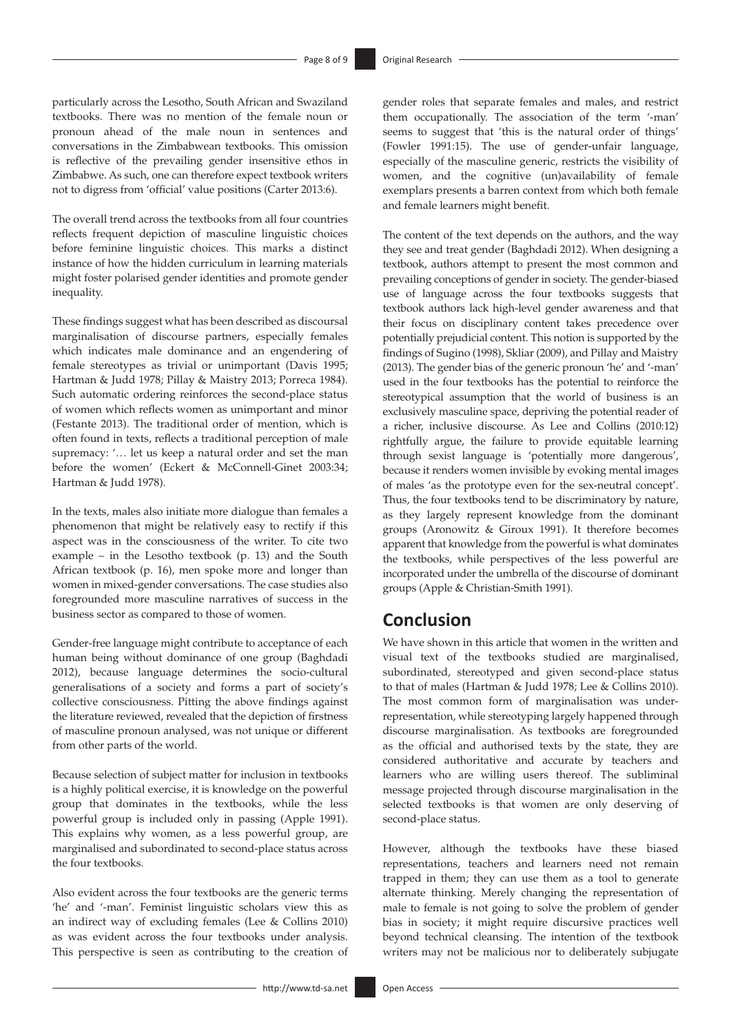particularly across the Lesotho, South African and Swaziland textbooks. There was no mention of the female noun or pronoun ahead of the male noun in sentences and conversations in the Zimbabwean textbooks. This omission is reflective of the prevailing gender insensitive ethos in Zimbabwe. As such, one can therefore expect textbook writers not to digress from 'official' value positions (Carter 2013:6).

The overall trend across the textbooks from all four countries reflects frequent depiction of masculine linguistic choices before feminine linguistic choices. This marks a distinct instance of how the hidden curriculum in learning materials might foster polarised gender identities and promote gender inequality.

These findings suggest what has been described as discoursal marginalisation of discourse partners, especially females which indicates male dominance and an engendering of female stereotypes as trivial or unimportant (Davis 1995; Hartman & Judd 1978; Pillay & Maistry 2013; Porreca 1984). Such automatic ordering reinforces the second-place status of women which reflects women as unimportant and minor (Festante 2013). The traditional order of mention, which is often found in texts, reflects a traditional perception of male supremacy: '… let us keep a natural order and set the man before the women' (Eckert & McConnell-Ginet 2003:34; Hartman & Judd 1978).

In the texts, males also initiate more dialogue than females a phenomenon that might be relatively easy to rectify if this aspect was in the consciousness of the writer. To cite two example – in the Lesotho textbook (p. 13) and the South African textbook (p. 16), men spoke more and longer than women in mixed-gender conversations. The case studies also foregrounded more masculine narratives of success in the business sector as compared to those of women.

Gender-free language might contribute to acceptance of each human being without dominance of one group (Baghdadi 2012), because language determines the socio-cultural generalisations of a society and forms a part of society's collective consciousness. Pitting the above findings against the literature reviewed, revealed that the depiction of firstness of masculine pronoun analysed, was not unique or different from other parts of the world.

Because selection of subject matter for inclusion in textbooks is a highly political exercise, it is knowledge on the powerful group that dominates in the textbooks, while the less powerful group is included only in passing (Apple 1991). This explains why women, as a less powerful group, are marginalised and subordinated to second-place status across the four textbooks.

Also evident across the four textbooks are the generic terms 'he' and '-man'. Feminist linguistic scholars view this as an indirect way of excluding females (Lee & Collins 2010) as was evident across the four textbooks under analysis. This perspective is seen as contributing to the creation of gender roles that separate females and males, and restrict them occupationally. The association of the term '-man' seems to suggest that 'this is the natural order of things' (Fowler 1991:15). The use of gender-unfair language, especially of the masculine generic, restricts the visibility of women, and the cognitive (un)availability of female exemplars presents a barren context from which both female and female learners might benefit.

The content of the text depends on the authors, and the way they see and treat gender (Baghdadi 2012). When designing a textbook, authors attempt to present the most common and prevailing conceptions of gender in society. The gender-biased use of language across the four textbooks suggests that textbook authors lack high-level gender awareness and that their focus on disciplinary content takes precedence over potentially prejudicial content. This notion is supported by the findings of Sugino (1998), Skliar (2009), and Pillay and Maistry (2013). The gender bias of the generic pronoun 'he' and '-man' used in the four textbooks has the potential to reinforce the stereotypical assumption that the world of business is an exclusively masculine space, depriving the potential reader of a richer, inclusive discourse. As Lee and Collins (2010:12) rightfully argue, the failure to provide equitable learning through sexist language is 'potentially more dangerous', because it renders women invisible by evoking mental images of males 'as the prototype even for the sex-neutral concept'. Thus, the four textbooks tend to be discriminatory by nature, as they largely represent knowledge from the dominant groups (Aronowitz & Giroux 1991). It therefore becomes apparent that knowledge from the powerful is what dominates the textbooks, while perspectives of the less powerful are incorporated under the umbrella of the discourse of dominant groups (Apple & Christian-Smith 1991).

# **Conclusion**

We have shown in this article that women in the written and visual text of the textbooks studied are marginalised, subordinated, stereotyped and given second-place status to that of males (Hartman & Judd 1978; Lee & Collins 2010). The most common form of marginalisation was underrepresentation, while stereotyping largely happened through discourse marginalisation. As textbooks are foregrounded as the official and authorised texts by the state, they are considered authoritative and accurate by teachers and learners who are willing users thereof. The subliminal message projected through discourse marginalisation in the selected textbooks is that women are only deserving of second-place status.

However, although the textbooks have these biased representations, teachers and learners need not remain trapped in them; they can use them as a tool to generate alternate thinking. Merely changing the representation of male to female is not going to solve the problem of gender bias in society; it might require discursive practices well beyond technical cleansing. The intention of the textbook writers may not be malicious nor to deliberately subjugate